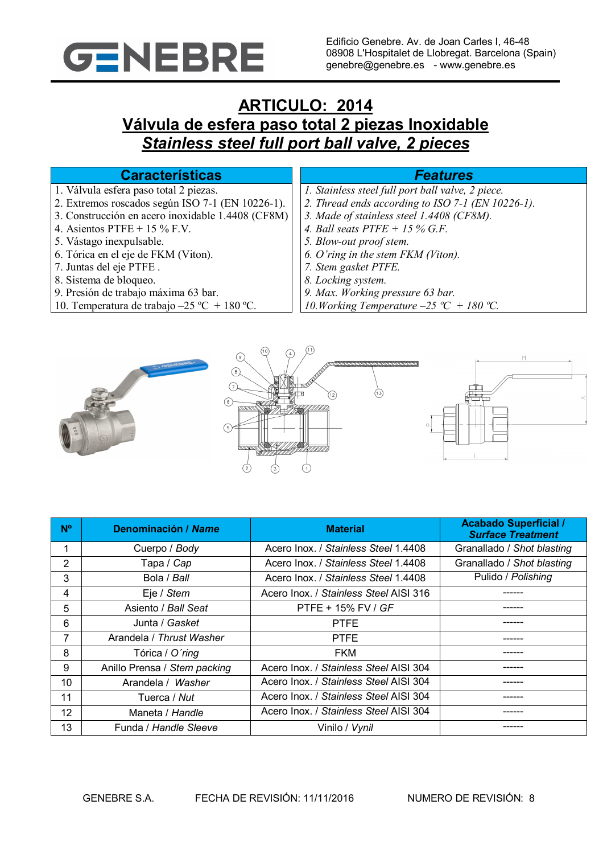

# **ARTICULO: 2014 Válvula de esfera paso total 2 piezas Inoxidable** *Stainless steel full port ball valve, 2 pieces*

## **Características** *Features*

- 1. Válvula esfera paso total 2 piezas.
- 2. Extremos roscados según ISO 7-1 (EN 10226-1).
- 3. Construcción en acero inoxidable 1.4408 (CF8M)
- 4. Asientos PTFE + 15 % F.V.
- 5. Vástago inexpulsable.
- 6. Tórica en el eje de FKM (Viton).
- 7. Juntas del eje PTFE .
- 8. Sistema de bloqueo.
- 9. Presión de trabajo máxima 63 bar.
- 10. Temperatura de trabajo –25 ºC + 180 ºC.

- *1. Stainless steel full port ball valve, 2 piece.*
- *2. Thread ends according to ISO 7-1 (EN 10226-1).*
- *3. Made of stainless steel 1.4408 (CF8M).*
- *4. Ball seats PTFE + 15 % G.F.*
- *5. Blow-out proof stem.*
- *6. O'ring in the stem FKM (Viton).*
- *7. Stem gasket PTFE.*
- *8. Locking system.*
- *9. Max. Working pressure 63 bar.*
- *10.Working Temperature –25 ºC + 180 ºC.*



| N <sup>o</sup> | Denominación / Name          | <b>Material</b>                        | <b>Acabado Superficial /</b><br><b>Surface Treatment</b> |  |
|----------------|------------------------------|----------------------------------------|----------------------------------------------------------|--|
| 1              | Cuerpo / Body                | Acero Inox. / Stainless Steel 1.4408   | Granallado / Shot blasting                               |  |
| 2              | Tapa / Cap                   | Acero Inox. / Stainless Steel 1.4408   | Granallado / Shot blasting                               |  |
| 3              | Bola / Ball                  | Acero Inox. / Stainless Steel 1.4408   | Pulido / Polishing                                       |  |
| 4              | Eje / Stem                   | Acero Inox. / Stainless Steel AISI 316 |                                                          |  |
| 5              | Asiento / Ball Seat          | PTFE + 15% FV / GF                     |                                                          |  |
| 6              | Junta / Gasket               | <b>PTFE</b>                            |                                                          |  |
| 7              | Arandela / Thrust Washer     | <b>PTFE</b>                            |                                                          |  |
| 8              | Tórica / O'ring              | <b>FKM</b>                             |                                                          |  |
| 9              | Anillo Prensa / Stem packing | Acero Inox. / Stainless Steel AISI 304 |                                                          |  |
| 10             | Arandela / Washer            | Acero Inox. / Stainless Steel AISI 304 |                                                          |  |
| 11             | Tuerca / Nut                 | Acero Inox. / Stainless Steel AISI 304 |                                                          |  |
| 12             | Maneta / Handle              | Acero Inox. / Stainless Steel AISI 304 |                                                          |  |
| 13             | Funda / Handle Sleeve        | Vinilo / Vynil                         |                                                          |  |